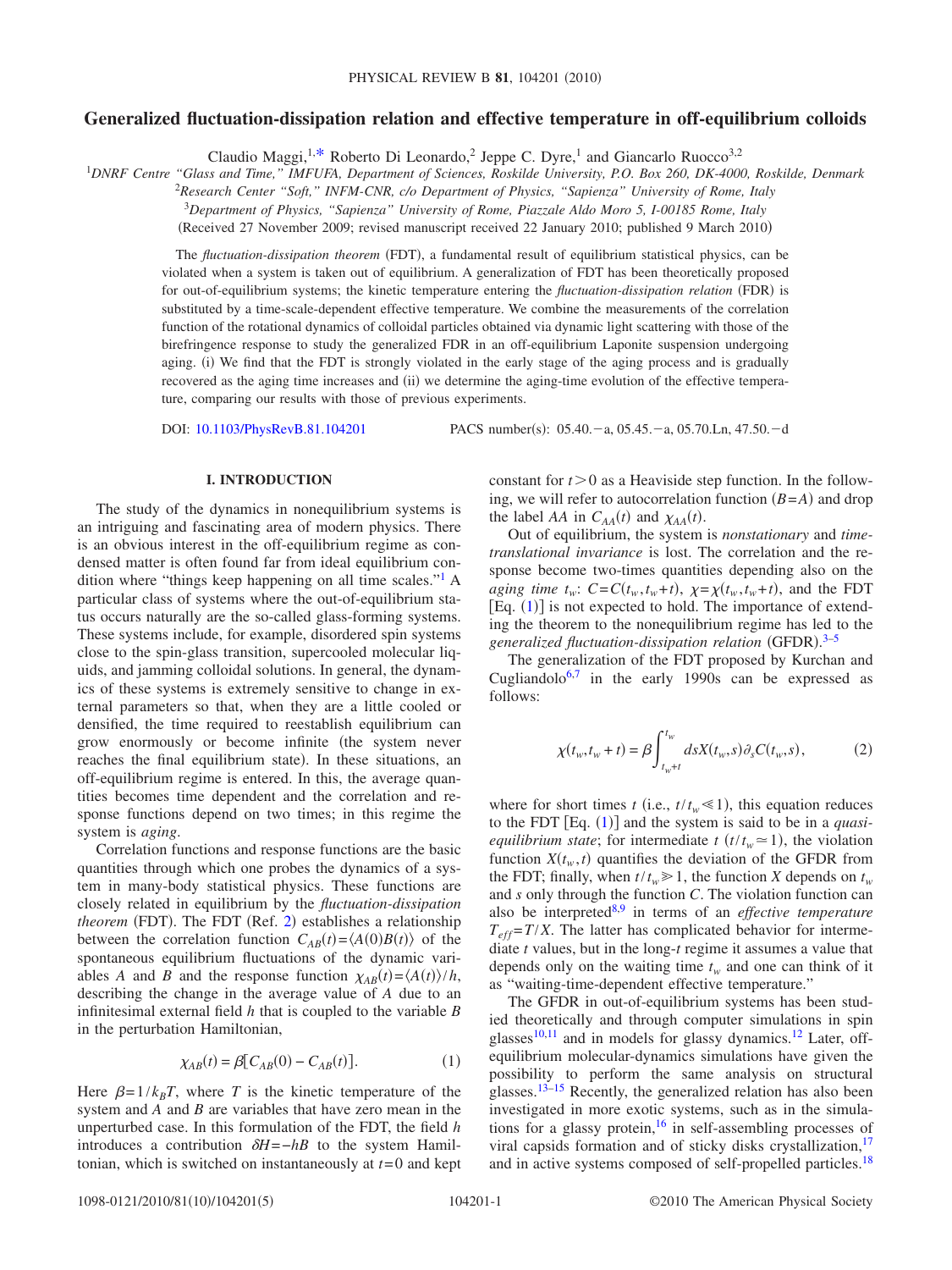# **Generalized fluctuation-dissipation relation and effective temperature in off-equilibrium colloids**

Claudio Maggi,<sup>1[,\\*](#page-3-0)</sup> Roberto Di Leonardo,<sup>2</sup> Jeppe C. Dyre,<sup>1</sup> and Giancarlo Ruocco<sup>3,2</sup>

1 *DNRF Centre "Glass and Time," IMFUFA, Department of Sciences, Roskilde University, P.O. Box 260, DK-4000, Roskilde, Denmark*

2 *Research Center "Soft," INFM-CNR, c/o Department of Physics, "Sapienza" University of Rome, Italy*

<sup>3</sup>*Department of Physics, "Sapienza" University of Rome, Piazzale Aldo Moro 5, I-00185 Rome, Italy*

(Received 27 November 2009; revised manuscript received 22 January 2010; published 9 March 2010)

The *fluctuation-dissipation theorem* (FDT), a fundamental result of equilibrium statistical physics, can be violated when a system is taken out of equilibrium. A generalization of FDT has been theoretically proposed for out-of-equilibrium systems; the kinetic temperature entering the *fluctuation-dissipation relation* (FDR) is substituted by a time-scale-dependent effective temperature. We combine the measurements of the correlation function of the rotational dynamics of colloidal particles obtained via dynamic light scattering with those of the birefringence response to study the generalized FDR in an off-equilibrium Laponite suspension undergoing aging. (i) We find that the FDT is strongly violated in the early stage of the aging process and is gradually recovered as the aging time increases and (ii) we determine the aging-time evolution of the effective temperature, comparing our results with those of previous experiments.

DOI: [10.1103/PhysRevB.81.104201](http://dx.doi.org/10.1103/PhysRevB.81.104201)

PACS number(s): 05.40. - a, 05.45. - a, 05.70. Ln, 47.50. - d

### **I. INTRODUCTION**

<span id="page-0-1"></span>The study of the dynamics in nonequilibrium systems is an intriguing and fascinating area of modern physics. There is an obvious interest in the off-equilibrium regime as condensed matter is often found far from ideal equilibrium condition where "things keep happening on all time scales.["1](#page-3-1) A particular class of systems where the out-of-equilibrium status occurs naturally are the so-called glass-forming systems. These systems include, for example, disordered spin systems close to the spin-glass transition, supercooled molecular liquids, and jamming colloidal solutions. In general, the dynamics of these systems is extremely sensitive to change in external parameters so that, when they are a little cooled or densified, the time required to reestablish equilibrium can grow enormously or become infinite (the system never reaches the final equilibrium state). In these situations, an off-equilibrium regime is entered. In this, the average quantities becomes time dependent and the correlation and response functions depend on two times; in this regime the system is *aging*.

Correlation functions and response functions are the basic quantities through which one probes the dynamics of a system in many-body statistical physics. These functions are closely related in equilibrium by the *fluctuation-dissipation* theorem (FDT). The FDT (Ref. [2](#page-3-2)) establishes a relationship between the correlation function  $C_{AB}(t) = \langle A(0)B(t) \rangle$  of the spontaneous equilibrium fluctuations of the dynamic variables *A* and *B* and the response function  $\chi_{AB}(t) = \langle A(t) \rangle / h$ , describing the change in the average value of *A* due to an infinitesimal external field *h* that is coupled to the variable *B* in the perturbation Hamiltonian,

$$
\chi_{AB}(t) = \beta \big[ C_{AB}(0) - C_{AB}(t) \big]. \tag{1}
$$

<span id="page-0-0"></span>Here  $\beta = 1/k_B T$ , where *T* is the kinetic temperature of the system and *A* and *B* are variables that have zero mean in the unperturbed case. In this formulation of the FDT, the field *h* introduces a contribution  $\delta H = -hB$  to the system Hamiltonian, which is switched on instantaneously at *t*= 0 and kept constant for  $t > 0$  as a Heaviside step function. In the following, we will refer to autocorrelation function  $(B = A)$  and drop the label *AA* in  $C_{AA}(t)$  and  $\chi_{AA}(t)$ .

Out of equilibrium, the system is *nonstationary* and *timetranslational invariance* is lost. The correlation and the response become two-times quantities depending also on the *aging time t<sub>w</sub>:*  $C = C(t_w, t_w + t)$ ,  $\chi = \chi(t_w, t_w + t)$ , and the FDT [Eq.  $(1)$  $(1)$  $(1)$ ] is not expected to hold. The importance of extending the theorem to the nonequilibrium regime has led to the generalized fluctuation-dissipation relation (GFDR).<sup>[3–](#page-3-3)[5](#page-3-4)</sup>

The generalization of the FDT proposed by Kurchan and Cugliandolo<sup>6[,7](#page-4-1)</sup> in the early 1990s can be expressed as follows:

$$
\chi(t_w, t_w + t) = \beta \int_{t_w + t}^{t_w} ds X(t_w, s) \partial_s C(t_w, s),
$$
 (2)

where for short times *t* (i.e.,  $t/t_w \le 1$ ), this equation reduces to the FDT  $[Eq. (1)]$  $[Eq. (1)]$  $[Eq. (1)]$  and the system is said to be in a *quasiequilibrium state*; for intermediate  $t(t/t_w \approx 1)$ , the violation function  $X(t_w, t)$  quantifies the deviation of the GFDR from the FDT; finally, when  $t/t_w \ge 1$ , the function *X* depends on  $t_w$ and *s* only through the function *C*. The violation function can also be interprete[d8,](#page-4-2)[9](#page-4-3) in terms of an *effective temperature*  $T_{eff} = T/X$ . The latter has complicated behavior for intermediate *t* values, but in the long-*t* regime it assumes a value that depends only on the waiting time  $t_w$  and one can think of it as "waiting-time-dependent effective temperature."

The GFDR in out-of-equilibrium systems has been studied theoretically and through computer simulations in spin glasses $10,11$  $10,11$  and in models for glassy dynamics.<sup>12</sup> Later, offequilibrium molecular-dynamics simulations have given the possibility to perform the same analysis on structural glasses[.13–](#page-4-7)[15](#page-4-8) Recently, the generalized relation has also been investigated in more exotic systems, such as in the simulations for a glassy protein,  $16$  in self-assembling processes of viral capsids formation and of sticky disks crystallization, $17$ and in active systems composed of self-propelled particles.<sup>18</sup>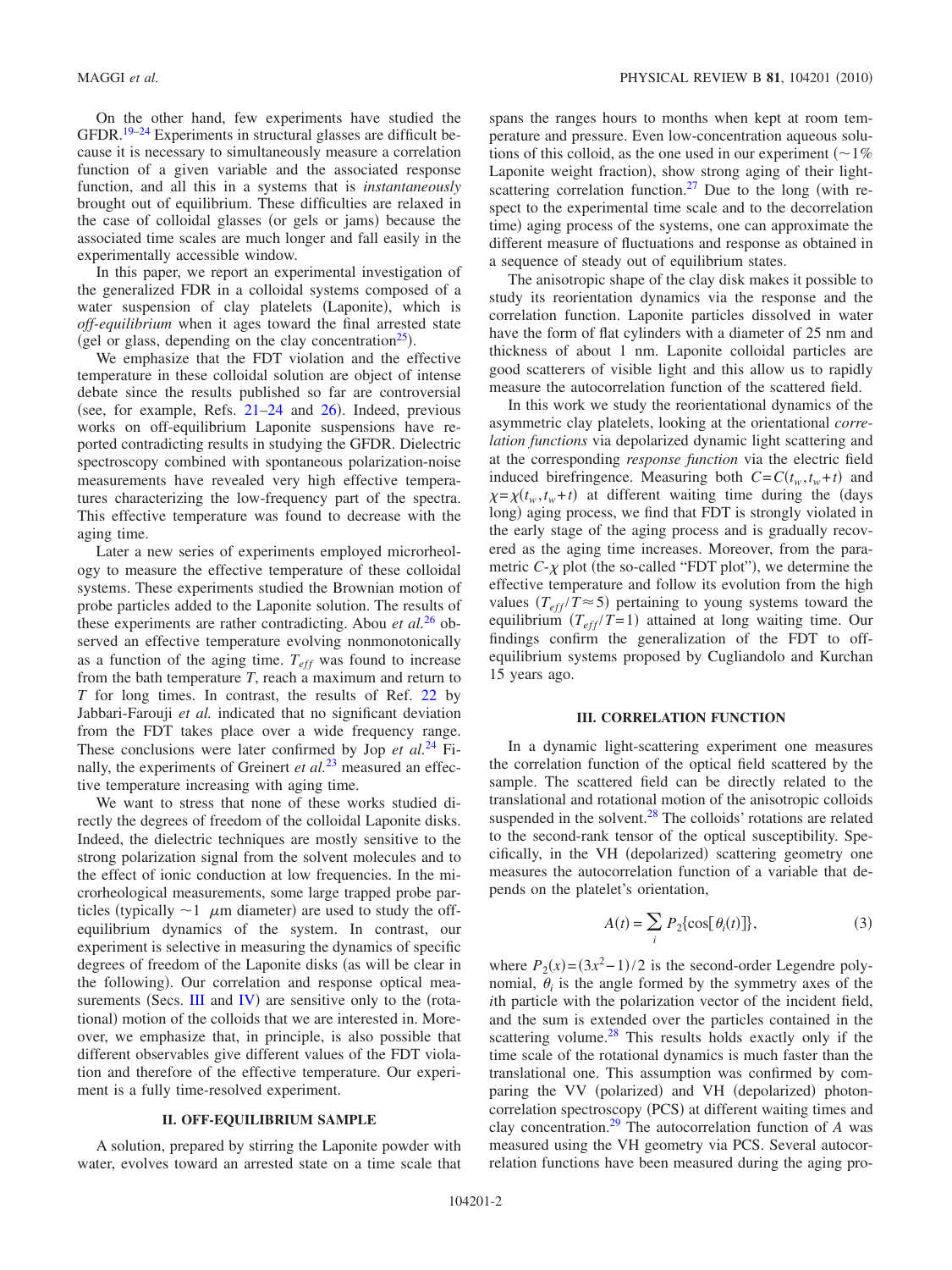On the other hand, few experiments have studied the GFDR.<sup>19–[24](#page-4-13)</sup> Experiments in structural glasses are difficult because it is necessary to simultaneously measure a correlation function of a given variable and the associated response function, and all this in a systems that is *instantaneously* brought out of equilibrium. These difficulties are relaxed in the case of colloidal glasses (or gels or jams) because the associated time scales are much longer and fall easily in the experimentally accessible window.

In this paper, we report an experimental investigation of the generalized FDR in a colloidal systems composed of a water suspension of clay platelets (Laponite), which is *off-equilibrium* when it ages toward the final arrested state (gel or glass, depending on the clay concentration<sup>25</sup>).

We emphasize that the FDT violation and the effective temperature in these colloidal solution are object of intense debate since the results published so far are controversial (see, for example, Refs.  $21-24$  $21-24$  and  $26$ ). Indeed, previous works on off-equilibrium Laponite suspensions have reported contradicting results in studying the GFDR. Dielectric spectroscopy combined with spontaneous polarization-noise measurements have revealed very high effective temperatures characterizing the low-frequency part of the spectra. This effective temperature was found to decrease with the aging time.

Later a new series of experiments employed microrheology to measure the effective temperature of these colloidal systems. These experiments studied the Brownian motion of probe particles added to the Laponite solution. The results of these experiments are rather contradicting. Abou *et al.*[26](#page-4-16) observed an effective temperature evolving nonmonotonically as a function of the aging time.  $T_{eff}$  was found to increase from the bath temperature *T*, reach a maximum and return to *T* for long times. In contrast, the results of Ref. [22](#page-4-17) by Jabbari-Farouji *et al.* indicated that no significant deviation from the FDT takes place over a wide frequency range. These conclusions were later confirmed by Jop *et al.*[24](#page-4-13) Finally, the experiments of Greinert *et al.*[23](#page-4-18) measured an effective temperature increasing with aging time.

We want to stress that none of these works studied directly the degrees of freedom of the colloidal Laponite disks. Indeed, the dielectric techniques are mostly sensitive to the strong polarization signal from the solvent molecules and to the effect of ionic conduction at low frequencies. In the microrheological measurements, some large trapped probe particles (typically  $\sim$ 1  $\mu$ m diameter) are used to study the offequilibrium dynamics of the system. In contrast, our experiment is selective in measuring the dynamics of specific degrees of freedom of the Laponite disks (as will be clear in the following). Our correlation and response optical measurements (Secs.  $III$  and [IV](#page-2-0)) are sensitive only to the (rotational) motion of the colloids that we are interested in. Moreover, we emphasize that, in principle, is also possible that different observables give different values of the FDT violation and therefore of the effective temperature. Our experiment is a fully time-resolved experiment.

## **II. OFF-EQUILIBRIUM SAMPLE**

A solution, prepared by stirring the Laponite powder with water, evolves toward an arrested state on a time scale that spans the ranges hours to months when kept at room temperature and pressure. Even low-concentration aqueous solutions of this colloid, as the one used in our experiment  $($   $\sim$  1% Laponite weight fraction), show strong aging of their lightscattering correlation function.<sup>27</sup> Due to the long (with respect to the experimental time scale and to the decorrelation time) aging process of the systems, one can approximate the different measure of fluctuations and response as obtained in a sequence of steady out of equilibrium states.

The anisotropic shape of the clay disk makes it possible to study its reorientation dynamics via the response and the correlation function. Laponite particles dissolved in water have the form of flat cylinders with a diameter of 25 nm and thickness of about 1 nm. Laponite colloidal particles are good scatterers of visible light and this allow us to rapidly measure the autocorrelation function of the scattered field.

In this work we study the reorientational dynamics of the asymmetric clay platelets, looking at the orientational *correlation functions* via depolarized dynamic light scattering and at the corresponding *response function* via the electric field induced birefringence. Measuring both  $C = C(t_w, t_w + t)$  and  $\chi = \chi(t_w, t_w + t)$  at different waiting time during the (days long) aging process, we find that FDT is strongly violated in the early stage of the aging process and is gradually recovered as the aging time increases. Moreover, from the parametric  $C-\chi$  plot (the so-called "FDT plot"), we determine the effective temperature and follow its evolution from the high values  $(T_{eff}/T \approx 5)$  pertaining to young systems toward the equilibrium  $(T_{eff}/T=1)$  attained at long waiting time. Our findings confirm the generalization of the FDT to offequilibrium systems proposed by Cugliandolo and Kurchan 15 years ago.

#### **III. CORRELATION FUNCTION**

<span id="page-1-0"></span>In a dynamic light-scattering experiment one measures the correlation function of the optical field scattered by the sample. The scattered field can be directly related to the translational and rotational motion of the anisotropic colloids suspended in the solvent. $28$  The colloids' rotations are related to the second-rank tensor of the optical susceptibility. Specifically, in the VH (depolarized) scattering geometry one measures the autocorrelation function of a variable that depends on the platelet's orientation,

$$
A(t) = \sum_{i} P_2 \{ \cos[\theta_i(t)] \},\tag{3}
$$

<span id="page-1-1"></span>where  $P_2(x) = (3x^2 - 1)/2$  is the second-order Legendre polynomial,  $\theta_i$  is the angle formed by the symmetry axes of the *i*th particle with the polarization vector of the incident field, and the sum is extended over the particles contained in the scattering volume. $^{28}$  This results holds exactly only if the time scale of the rotational dynamics is much faster than the translational one. This assumption was confirmed by comparing the VV (polarized) and VH (depolarized) photoncorrelation spectroscopy (PCS) at different waiting times and clay concentration[.29](#page-4-21) The autocorrelation function of *A* was measured using the VH geometry via PCS. Several autocorrelation functions have been measured during the aging pro-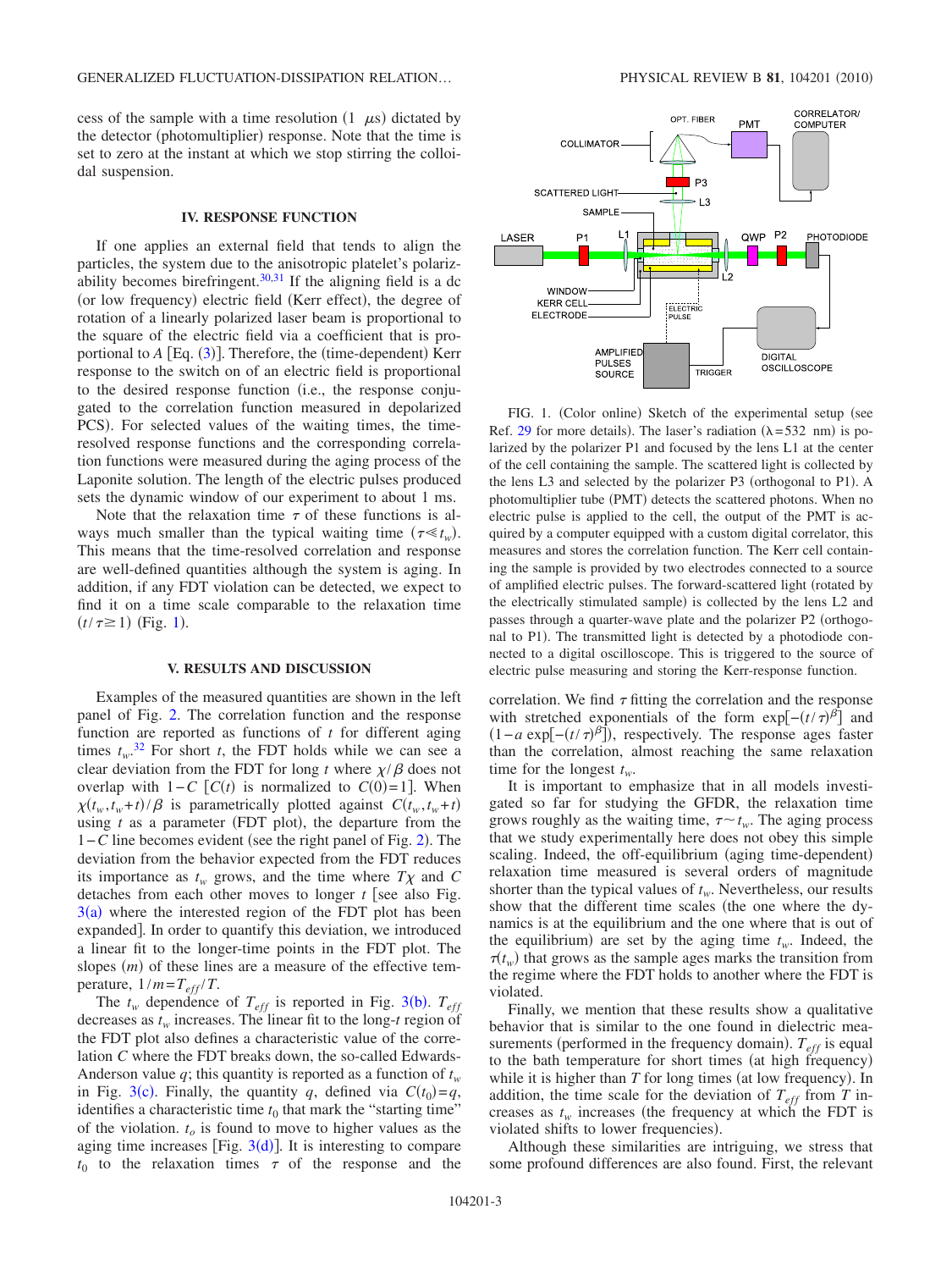cess of the sample with a time resolution  $(1 \mu s)$  dictated by the detector (photomultiplier) response. Note that the time is set to zero at the instant at which we stop stirring the colloidal suspension.

### **IV. RESPONSE FUNCTION**

<span id="page-2-0"></span>If one applies an external field that tends to align the particles, the system due to the anisotropic platelet's polariz-ability becomes birefringent.<sup>30[,31](#page-4-23)</sup> If the aligning field is a dc (or low frequency) electric field (Kerr effect), the degree of rotation of a linearly polarized laser beam is proportional to the square of the electric field via a coefficient that is proportional to *A* [Eq. ([3](#page-1-1))]. Therefore, the (time-dependent) Kerr response to the switch on of an electric field is proportional to the desired response function (i.e., the response conjugated to the correlation function measured in depolarized PCS). For selected values of the waiting times, the timeresolved response functions and the corresponding correlation functions were measured during the aging process of the Laponite solution. The length of the electric pulses produced sets the dynamic window of our experiment to about 1 ms.

Note that the relaxation time  $\tau$  of these functions is always much smaller than the typical waiting time  $(\tau \ll t_w)$ . This means that the time-resolved correlation and response are well-defined quantities although the system is aging. In addition, if any FDT violation can be detected, we expect to find it on a time scale comparable to the relaxation time  $(t/\tau \ge 1)$  $(t/\tau \ge 1)$  $(t/\tau \ge 1)$  (Fig. 1).

#### **V. RESULTS AND DISCUSSION**

Examples of the measured quantities are shown in the left panel of Fig. [2.](#page-3-5) The correlation function and the response function are reported as functions of *t* for different aging times  $t_w$ .<sup>[32](#page-4-24)</sup> For short *t*, the FDT holds while we can see a clear deviation from the FDT for long *t* where  $\chi/\beta$  does not overlap with  $1 - C$  [ $C(t)$  is normalized to  $C(0) = 1$ ]. When  $\chi(t_w, t_w + t) / \beta$  is parametrically plotted against  $C(t_w, t_w + t)$ using  $t$  as a parameter (FDT plot), the departure from the 1–*C* line becomes evident (see the right panel of Fig. [2](#page-3-5)). The deviation from the behavior expected from the FDT reduces its importance as  $t_w$  grows, and the time where  $T\chi$  and C detaches from each other moves to longer  $t$  [see also Fig.  $3(a)$  $3(a)$  where the interested region of the FDT plot has been expanded. In order to quantify this deviation, we introduced a linear fit to the longer-time points in the FDT plot. The slopes (*m*) of these lines are a measure of the effective temperature,  $1/m = T_{eff}/T$ .

The  $t_w$  dependence of  $T_{eff}$  is reported in Fig. [3](#page-3-6)(b).  $T_{eff}$ decreases as  $t_w$  increases. The linear fit to the long- $t$  region of the FDT plot also defines a characteristic value of the correlation *C* where the FDT breaks down, the so-called Edwards-Anderson value  $q$ ; this quantity is reported as a function of  $t_w$ in Fig. [3](#page-3-6)(c). Finally, the quantity *q*, defined via  $C(t_0) = q$ , identifies a characteristic time  $t_0$  that mark the "starting time" of the violation.  $t<sub>o</sub>$  is found to move to higher values as the aging time increases [Fig.  $3(d)$  $3(d)$ ]. It is interesting to compare  $t_0$  to the relaxation times  $\tau$  of the response and the

<span id="page-2-1"></span>

FIG. 1. (Color online) Sketch of the experimental setup (see Ref. [29](#page-4-21) for more details). The laser's radiation  $(\lambda = 532 \text{ nm})$  is polarized by the polarizer P1 and focused by the lens L1 at the center of the cell containing the sample. The scattered light is collected by the lens L3 and selected by the polarizer P3 (orthogonal to P1). A photomultiplier tube (PMT) detects the scattered photons. When no electric pulse is applied to the cell, the output of the PMT is acquired by a computer equipped with a custom digital correlator, this measures and stores the correlation function. The Kerr cell containing the sample is provided by two electrodes connected to a source of amplified electric pulses. The forward-scattered light (rotated by the electrically stimulated sample) is collected by the lens L2 and passes through a quarter-wave plate and the polarizer P2 (orthogonal to P1). The transmitted light is detected by a photodiode connected to a digital oscilloscope. This is triggered to the source of electric pulse measuring and storing the Kerr-response function.

correlation. We find  $\tau$  fitting the correlation and the response with stretched exponentials of the form  $\exp[-(t/\tau)^{\beta}]$  and  $(1 - a \exp[-(t/\tau)^{\beta}])$ , respectively. The response ages faster than the correlation, almost reaching the same relaxation time for the longest  $t_w$ .

It is important to emphasize that in all models investigated so far for studying the GFDR, the relaxation time grows roughly as the waiting time,  $\tau \sim t_w$ . The aging process that we study experimentally here does not obey this simple scaling. Indeed, the off-equilibrium (aging time-dependent) relaxation time measured is several orders of magnitude shorter than the typical values of  $t_w$ . Nevertheless, our results show that the different time scales (the one where the dynamics is at the equilibrium and the one where that is out of the equilibrium) are set by the aging time  $t_w$ . Indeed, the  $\tau(t_w)$  that grows as the sample ages marks the transition from the regime where the FDT holds to another where the FDT is violated.

Finally, we mention that these results show a qualitative behavior that is similar to the one found in dielectric measurements (performed in the frequency domain).  $T_{\text{eff}}$  is equal to the bath temperature for short times (at high frequency) while it is higher than  $T$  for long times (at low frequency). In addition, the time scale for the deviation of  $T_{eff}$  from *T* increases as  $t_w$  increases (the frequency at which the FDT is violated shifts to lower frequencies).

Although these similarities are intriguing, we stress that some profound differences are also found. First, the relevant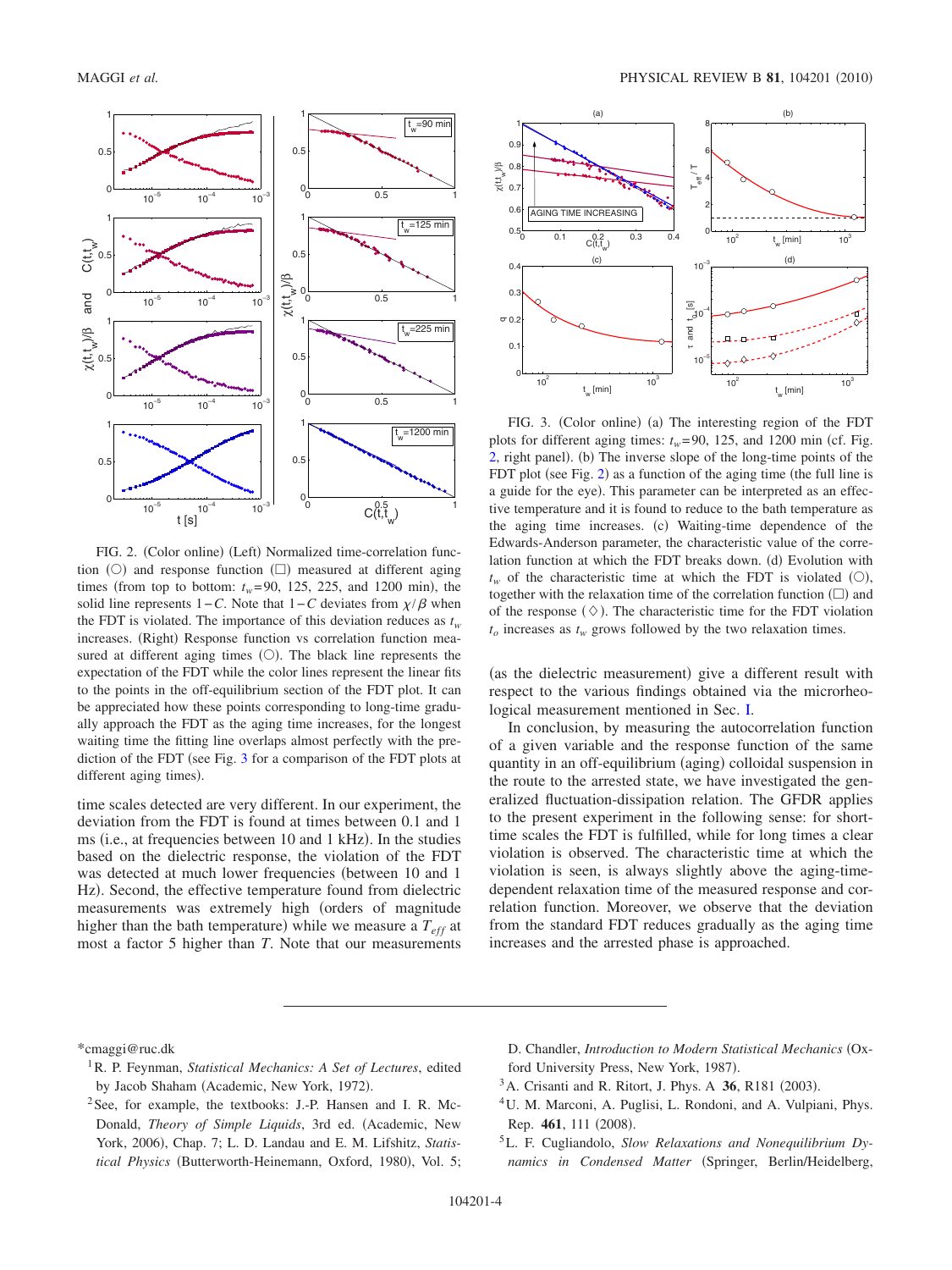<span id="page-3-5"></span>

FIG. 2. (Color online) (Left) Normalized time-correlation function  $(O)$  and response function  $(\Box)$  measured at different aging times (from top to bottom:  $t_w = 90$ , 125, 225, and 1200 min), the solid line represents  $1 - C$ . Note that  $1 - C$  deviates from  $\chi/\beta$  when the FDT is violated. The importance of this deviation reduces as  $t_w$ increases. (Right) Response function vs correlation function measured at different aging times  $(O)$ . The black line represents the expectation of the FDT while the color lines represent the linear fits to the points in the off-equilibrium section of the FDT plot. It can be appreciated how these points corresponding to long-time gradually approach the FDT as the aging time increases, for the longest waiting time the fitting line overlaps almost perfectly with the prediction of the FDT (see Fig.  $3$  for a comparison of the FDT plots at different aging times).

time scales detected are very different. In our experiment, the deviation from the FDT is found at times between 0.1 and 1 ms (i.e., at frequencies between 10 and 1 kHz). In the studies based on the dielectric response, the violation of the FDT was detected at much lower frequencies (between 10 and 1 Hz). Second, the effective temperature found from dielectric measurements was extremely high (orders of magnitude higher than the bath temperature) while we measure a  $T_{\text{eff}}$  at most a factor 5 higher than *T*. Note that our measurements

<span id="page-3-6"></span>

FIG. 3. (Color online) (a) The interesting region of the FDT plots for different aging times:  $t_w$ = 90, 125, and 1200 min (cf. Fig. [2,](#page-3-5) right panel). (b) The inverse slope of the long-time points of the FDT plot (see Fig. [2](#page-3-5)) as a function of the aging time (the full line is a guide for the eye). This parameter can be interpreted as an effective temperature and it is found to reduce to the bath temperature as the aging time increases. (c) Waiting-time dependence of the Edwards-Anderson parameter, the characteristic value of the correlation function at which the FDT breaks down. (d) Evolution with  $t_w$  of the characteristic time at which the FDT is violated  $(0)$ , together with the relaxation time of the correlation function  $(\square)$  and of the response  $(\Diamond)$ . The characteristic time for the FDT violation  $t_o$  increases as  $t_w$  grows followed by the two relaxation times.

(as the dielectric measurement) give a different result with respect to the various findings obtained via the microrheological measurement mentioned in Sec. [I.](#page-0-1)

In conclusion, by measuring the autocorrelation function of a given variable and the response function of the same quantity in an off-equilibrium (aging) colloidal suspension in the route to the arrested state, we have investigated the generalized fluctuation-dissipation relation. The GFDR applies to the present experiment in the following sense: for shorttime scales the FDT is fulfilled, while for long times a clear violation is observed. The characteristic time at which the violation is seen, is always slightly above the aging-timedependent relaxation time of the measured response and correlation function. Moreover, we observe that the deviation from the standard FDT reduces gradually as the aging time increases and the arrested phase is approached.

<span id="page-3-0"></span>\*cmaggi@ruc.dk

- <span id="page-3-1"></span>1R. P. Feynman, *Statistical Mechanics: A Set of Lectures*, edited by Jacob Shaham (Academic, New York, 1972).
- <span id="page-3-2"></span><sup>2</sup>See, for example, the textbooks: J.-P. Hansen and I. R. Mc-Donald, *Theory of Simple Liquids*, 3rd ed. (Academic, New York, 2006), Chap. 7; L. D. Landau and E. M. Lifshitz, Statistical Physics (Butterworth-Heinemann, Oxford, 1980), Vol. 5;
- D. Chandler, *Introduction to Modern Statistical Mechanics* Oxford University Press, New York, 1987).
- <span id="page-3-3"></span><sup>3</sup> A. Crisanti and R. Ritort, J. Phys. A **36**, R181 (2003).
- 4U. M. Marconi, A. Puglisi, L. Rondoni, and A. Vulpiani, Phys. Rep. 461, 111 (2008).
- <span id="page-3-4"></span>5L. F. Cugliandolo, *Slow Relaxations and Nonequilibrium Dy*namics in Condensed Matter (Springer, Berlin/Heidelberg,